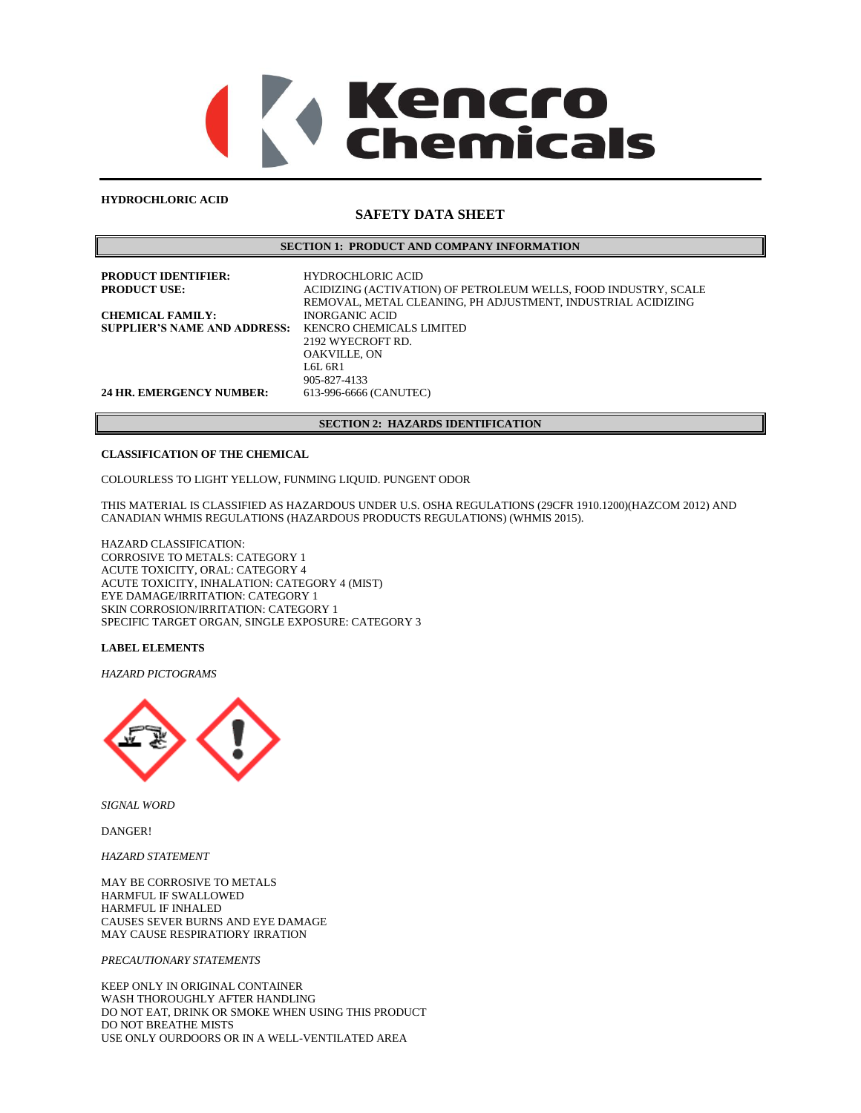# Kencro **nemicals**

### **HYDROCHLORIC ACID**

# **SAFETY DATA SHEET**

# **SECTION 1: PRODUCT AND COMPANY INFORMATION**

| <b>PRODUCT IDENTIFIER:</b><br><b>PRODUCT USE:</b>              | <b>HYDROCHLORIC ACID</b><br>ACIDIZING (ACTIVATION) OF PETROLEUM WELLS, FOOD INDUSTRY, SCALE<br>REMOVAL, METAL CLEANING, PH ADJUSTMENT, INDUSTRIAL ACIDIZING |
|----------------------------------------------------------------|-------------------------------------------------------------------------------------------------------------------------------------------------------------|
| <b>CHEMICAL FAMILY:</b><br><b>SUPPLIER'S NAME AND ADDRESS:</b> | <b>INORGANIC ACID</b><br>KENCRO CHEMICALS LIMITED                                                                                                           |
|                                                                | 2192 WYECROFT RD.<br><b>OAKVILLE, ON</b>                                                                                                                    |
|                                                                | L6L 6R1<br>905-827-4133                                                                                                                                     |
| <b>24 HR. EMERGENCY NUMBER:</b>                                | 613-996-6666 (CANUTEC)                                                                                                                                      |

# **SECTION 2: HAZARDS IDENTIFICATION**

# **CLASSIFICATION OF THE CHEMICAL**

COLOURLESS TO LIGHT YELLOW, FUNMING LIQUID. PUNGENT ODOR

THIS MATERIAL IS CLASSIFIED AS HAZARDOUS UNDER U.S. OSHA REGULATIONS (29CFR 1910.1200)(HAZCOM 2012) AND CANADIAN WHMIS REGULATIONS (HAZARDOUS PRODUCTS REGULATIONS) (WHMIS 2015).

HAZARD CLASSIFICATION: CORROSIVE TO METALS: CATEGORY 1 ACUTE TOXICITY, ORAL: CATEGORY 4 ACUTE TOXICITY, INHALATION: CATEGORY 4 (MIST) EYE DAMAGE/IRRITATION: CATEGORY 1 SKIN CORROSION/IRRITATION: CATEGORY 1 SPECIFIC TARGET ORGAN, SINGLE EXPOSURE: CATEGORY 3

# **LABEL ELEMENTS**

*HAZARD PICTOGRAMS*



*SIGNAL WORD*

DANGER!

*HAZARD STATEMENT*

MAY BE CORROSIVE TO METALS HARMFUL IF SWALLOWED HARMFUL IF INHALED CAUSES SEVER BURNS AND EYE DAMAGE MAY CAUSE RESPIRATIORY IRRATION

### *PRECAUTIONARY STATEMENTS*

KEEP ONLY IN ORIGINAL CONTAINER WASH THOROUGHLY AFTER HANDLING DO NOT EAT, DRINK OR SMOKE WHEN USING THIS PRODUCT DO NOT BREATHE MISTS USE ONLY OURDOORS OR IN A WELL-VENTILATED AREA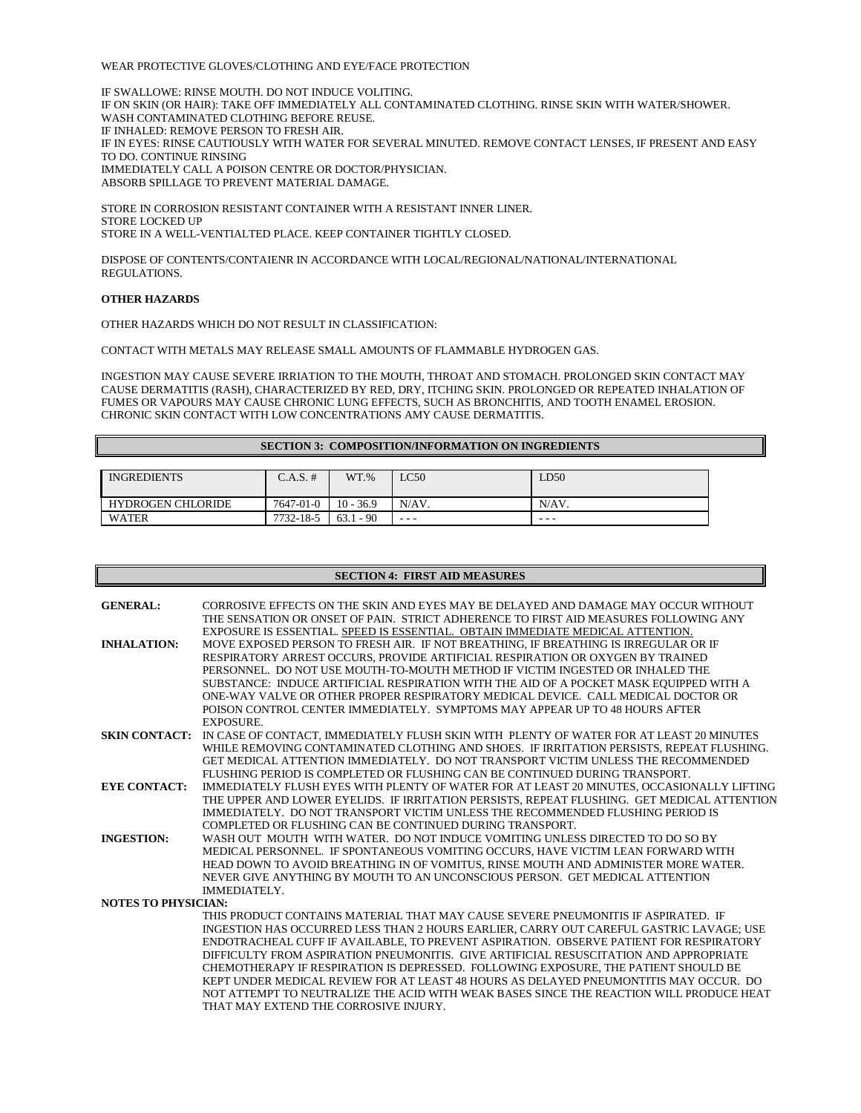### WEAR PROTECTIVE GLOVES/CLOTHING AND EYE/FACE PROTECTION

IF SWALLOWE: RINSE MOUTH. DO NOT INDUCE VOLITING. IF ON SKIN (OR HAIR): TAKE OFF IMMEDIATELY ALL CONTAMINATED CLOTHING. RINSE SKIN WITH WATER/SHOWER. WASH CONTAMINATED CLOTHING BEFORE REUSE. IF INHALED: REMOVE PERSON TO FRESH AIR. IF IN EYES: RINSE CAUTIOUSLY WITH WATER FOR SEVERAL MINUTED. REMOVE CONTACT LENSES, IF PRESENT AND EASY TO DO. CONTINUE RINSING IMMEDIATELY CALL A POISON CENTRE OR DOCTOR/PHYSICIAN. ABSORB SPILLAGE TO PREVENT MATERIAL DAMAGE.

STORE IN CORROSION RESISTANT CONTAINER WITH A RESISTANT INNER LINER. STORE LOCKED UP STORE IN A WELL-VENTIALTED PLACE. KEEP CONTAINER TIGHTLY CLOSED.

DISPOSE OF CONTENTS/CONTAIENR IN ACCORDANCE WITH LOCAL/REGIONAL/NATIONAL/INTERNATIONAL REGULATIONS.

### **OTHER HAZARDS**

OTHER HAZARDS WHICH DO NOT RESULT IN CLASSIFICATION:

CONTACT WITH METALS MAY RELEASE SMALL AMOUNTS OF FLAMMABLE HYDROGEN GAS.

INGESTION MAY CAUSE SEVERE IRRIATION TO THE MOUTH, THROAT AND STOMACH. PROLONGED SKIN CONTACT MAY CAUSE DERMATITIS (RASH), CHARACTERIZED BY RED, DRY, ITCHING SKIN. PROLONGED OR REPEATED INHALATION OF FUMES OR VAPOURS MAY CAUSE CHRONIC LUNG EFFECTS, SUCH AS BRONCHITIS, AND TOOTH ENAMEL EROSION. CHRONIC SKIN CONTACT WITH LOW CONCENTRATIONS AMY CAUSE DERMATITIS.

### **SECTION 3: COMPOSITION/INFORMATION ON INGREDIENTS**

| <b>INGREDIENTS</b>       | $C.A.S. \#$ | $WT. \%$    | LC50  | LD50     |
|--------------------------|-------------|-------------|-------|----------|
| <b>HYDROGEN CHLORIDE</b> | 7647-01-0   | $10 - 36.9$ | N/AV. | $N/AV$ . |
| <b>WATER</b>             | 7732-18-5   | $63.1 - 90$ | ---   | - - -    |

|                            | <b>SECTION 4: FIRST AID MEASURES</b>                                                                                                                                   |  |  |  |  |
|----------------------------|------------------------------------------------------------------------------------------------------------------------------------------------------------------------|--|--|--|--|
|                            |                                                                                                                                                                        |  |  |  |  |
| <b>GENERAL:</b>            | CORROSIVE EFFECTS ON THE SKIN AND EYES MAY BE DELAYED AND DAMAGE MAY OCCUR WITHOUT                                                                                     |  |  |  |  |
|                            | THE SENSATION OR ONSET OF PAIN. STRICT ADHERENCE TO FIRST AID MEASURES FOLLOWING ANY                                                                                   |  |  |  |  |
|                            | EXPOSURE IS ESSENTIAL. SPEED IS ESSENTIAL. OBTAIN IMMEDIATE MEDICAL ATTENTION.                                                                                         |  |  |  |  |
| <b>INHALATION:</b>         | MOVE EXPOSED PERSON TO FRESH AIR. IF NOT BREATHING, IF BREATHING IS IRREGULAR OR IF                                                                                    |  |  |  |  |
|                            | RESPIRATORY ARREST OCCURS, PROVIDE ARTIFICIAL RESPIRATION OR OXYGEN BY TRAINED                                                                                         |  |  |  |  |
|                            | PERSONNEL. DO NOT USE MOUTH-TO-MOUTH METHOD IF VICTIM INGESTED OR INHALED THE                                                                                          |  |  |  |  |
|                            | SUBSTANCE: INDUCE ARTIFICIAL RESPIRATION WITH THE AID OF A POCKET MASK EQUIPPED WITH A                                                                                 |  |  |  |  |
|                            | ONE-WAY VALVE OR OTHER PROPER RESPIRATORY MEDICAL DEVICE. CALL MEDICAL DOCTOR OR                                                                                       |  |  |  |  |
|                            | POISON CONTROL CENTER IMMEDIATELY. SYMPTOMS MAY APPEAR UP TO 48 HOURS AFTER                                                                                            |  |  |  |  |
|                            | <b>EXPOSURE.</b>                                                                                                                                                       |  |  |  |  |
|                            | SKIN CONTACT: IN CASE OF CONTACT, IMMEDIATELY FLUSH SKIN WITH PLENTY OF WATER FOR AT LEAST 20 MINUTES                                                                  |  |  |  |  |
|                            | WHILE REMOVING CONTAMINATED CLOTHING AND SHOES. IF IRRITATION PERSISTS, REPEAT FLUSHING.                                                                               |  |  |  |  |
|                            | GET MEDICAL ATTENTION IMMEDIATELY. DO NOT TRANSPORT VICTIM UNLESS THE RECOMMENDED                                                                                      |  |  |  |  |
|                            | FLUSHING PERIOD IS COMPLETED OR FLUSHING CAN BE CONTINUED DURING TRANSPORT.                                                                                            |  |  |  |  |
| <b>EYE CONTACT:</b>        | IMMEDIATELY FLUSH EYES WITH PLENTY OF WATER FOR AT LEAST 20 MINUTES, OCCASIONALLY LIFTING                                                                              |  |  |  |  |
|                            | THE UPPER AND LOWER EYELIDS. IF IRRITATION PERSISTS, REPEAT FLUSHING. GET MEDICAL ATTENTION                                                                            |  |  |  |  |
|                            | IMMEDIATELY. DO NOT TRANSPORT VICTIM UNLESS THE RECOMMENDED FLUSHING PERIOD IS<br>COMPLETED OR FLUSHING CAN BE CONTINUED DURING TRANSPORT.                             |  |  |  |  |
|                            |                                                                                                                                                                        |  |  |  |  |
| <b>INGESTION:</b>          | WASH OUT MOUTH WITH WATER. DO NOT INDUCE VOMITING UNLESS DIRECTED TO DO SO BY                                                                                          |  |  |  |  |
|                            | MEDICAL PERSONNEL. IF SPONTANEOUS VOMITING OCCURS, HAVE VICTIM LEAN FORWARD WITH<br>HEAD DOWN TO AVOID BREATHING IN OF VOMITUS, RINSE MOUTH AND ADMINISTER MORE WATER. |  |  |  |  |
|                            | NEVER GIVE ANYTHING BY MOUTH TO AN UNCONSCIOUS PERSON. GET MEDICAL ATTENTION                                                                                           |  |  |  |  |
|                            | IMMEDIATELY.                                                                                                                                                           |  |  |  |  |
| <b>NOTES TO PHYSICIAN:</b> |                                                                                                                                                                        |  |  |  |  |
|                            | THIS PRODUCT CONTAINS MATERIAL THAT MAY CAUSE SEVERE PNEUMONITIS IF ASPIRATED. IF                                                                                      |  |  |  |  |
|                            | INGESTION HAS OCCURRED LESS THAN 2 HOURS EARLIER, CARRY OUT CAREFUL GASTRIC LAVAGE; USE                                                                                |  |  |  |  |
|                            | ENDOTRACHEAL CUFF IF AVAILABLE, TO PREVENT ASPIRATION. OBSERVE PATIENT FOR RESPIRATORY                                                                                 |  |  |  |  |
|                            | DIFFICULTY FROM ASPIRATION PNEUMONITIS. GIVE ARTIFICIAL RESUSCITATION AND APPROPRIATE                                                                                  |  |  |  |  |
|                            | CHEMOTHERAPY IF RESPIRATION IS DEPRESSED. FOLLOWING EXPOSURE, THE PATIENT SHOULD BE                                                                                    |  |  |  |  |
|                            | KEPT UNDER MEDICAL REVIEW FOR AT LEAST 48 HOURS AS DELAYED PNEUMONTITIS MAY OCCUR. DO                                                                                  |  |  |  |  |
|                            | NOT ATTEMPT TO NEUTRALIZE THE ACID WITH WEAK BASES SINCE THE REACTION WILL PRODUCE HEAT                                                                                |  |  |  |  |
|                            | THAT MAY EXTEND THE CORROSIVE INJURY.                                                                                                                                  |  |  |  |  |
|                            |                                                                                                                                                                        |  |  |  |  |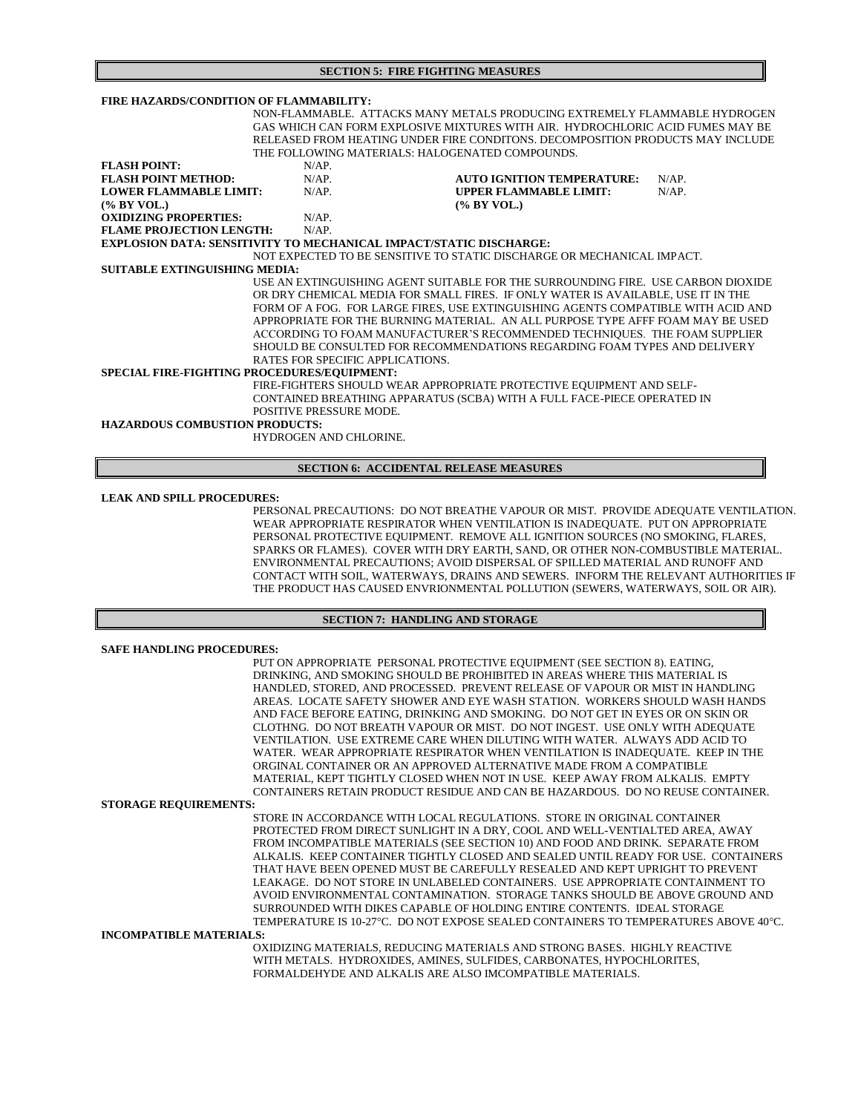**SECTION 5: FIRE FIGHTING MEASURES**

| FIRE HAZARDS/CONDITION OF FLAMMABILITY:                                           |                                                                                |                                                                                  |          |  |  |
|-----------------------------------------------------------------------------------|--------------------------------------------------------------------------------|----------------------------------------------------------------------------------|----------|--|--|
|                                                                                   | NON-FLAMMABLE. ATTACKS MANY METALS PRODUCING EXTREMELY FLAMMABLE HYDROGEN      |                                                                                  |          |  |  |
|                                                                                   | GAS WHICH CAN FORM EXPLOSIVE MIXTURES WITH AIR. HYDROCHLORIC ACID FUMES MAY BE |                                                                                  |          |  |  |
|                                                                                   |                                                                                | RELEASED FROM HEATING UNDER FIRE CONDITONS. DECOMPOSITION PRODUCTS MAY INCLUDE   |          |  |  |
|                                                                                   | THE FOLLOWING MATERIALS: HALOGENATED COMPOUNDS.                                |                                                                                  |          |  |  |
| <b>FLASH POINT:</b>                                                               | $N/AP$ .                                                                       |                                                                                  |          |  |  |
| <b>FLASH POINT METHOD:</b>                                                        | $N/AP$ .                                                                       | <b>AUTO IGNITION TEMPERATURE:</b>                                                | $N/AP$ . |  |  |
| <b>LOWER FLAMMABLE LIMIT:</b>                                                     | $N/AP$ .                                                                       | <b>UPPER FLAMMABLE LIMIT:</b>                                                    | $N/AP$ . |  |  |
| $(\%$ BY VOL.)                                                                    |                                                                                | (% BY VOL.)                                                                      |          |  |  |
| <b>OXIDIZING PROPERTIES:</b>                                                      | $N/AP$ .                                                                       |                                                                                  |          |  |  |
| <b>FLAME PROJECTION LENGTH:</b>                                                   | $N/AP$ .                                                                       |                                                                                  |          |  |  |
| <b>EXPLOSION DATA: SENSITIVITY TO MECHANICAL IMPACT/STATIC DISCHARGE:</b>         |                                                                                |                                                                                  |          |  |  |
|                                                                                   |                                                                                | NOT EXPECTED TO BE SENSITIVE TO STATIC DISCHARGE OR MECHANICAL IMPACT.           |          |  |  |
| <b>SUITABLE EXTINGUISHING MEDIA:</b>                                              |                                                                                |                                                                                  |          |  |  |
| USE AN EXTINGUISHING AGENT SUITABLE FOR THE SURROUNDING FIRE. USE CARBON DIOXIDE  |                                                                                |                                                                                  |          |  |  |
|                                                                                   |                                                                                | OR DRY CHEMICAL MEDIA FOR SMALL FIRES. IF ONLY WATER IS AVAILABLE, USE IT IN THE |          |  |  |
| FORM OF A FOG. FOR LARGE FIRES, USE EXTINGUISHING AGENTS COMPATIBLE WITH ACID AND |                                                                                |                                                                                  |          |  |  |
| APPROPRIATE FOR THE BURNING MATERIAL. AN ALL PURPOSE TYPE AFFF FOAM MAY BE USED   |                                                                                |                                                                                  |          |  |  |
| ACCORDING TO FOAM MANUFACTURER'S RECOMMENDED TECHNIQUES. THE FOAM SUPPLIER        |                                                                                |                                                                                  |          |  |  |
|                                                                                   |                                                                                | SHOULD BE CONSULTED FOR RECOMMENDATIONS REGARDING FOAM TYPES AND DELIVERY        |          |  |  |
|                                                                                   | RATES FOR SPECIFIC APPLICATIONS.                                               |                                                                                  |          |  |  |
| SPECIAL FIRE-FIGHTING PROCEDURES/EQUIPMENT:                                       |                                                                                |                                                                                  |          |  |  |
|                                                                                   |                                                                                | FIRE-FIGHTERS SHOULD WEAR APPROPRIATE PROTECTIVE EQUIPMENT AND SELF-             |          |  |  |
| CONTAINED BREATHING APPARATUS (SCBA) WITH A FULL FACE-PIECE OPERATED IN           |                                                                                |                                                                                  |          |  |  |
| POSITIVE PRESSURE MODE.                                                           |                                                                                |                                                                                  |          |  |  |
| <b>HAZARDOUS COMBUSTION PRODUCTS:</b>                                             |                                                                                |                                                                                  |          |  |  |
|                                                                                   | <b>HYDROGEN AND CHLORINE.</b>                                                  |                                                                                  |          |  |  |
|                                                                                   |                                                                                |                                                                                  |          |  |  |

# **SECTION 6: ACCIDENTAL RELEASE MEASURES**

### **LEAK AND SPILL PROCEDURES:**

PERSONAL PRECAUTIONS:DO NOT BREATHE VAPOUR OR MIST. PROVIDE ADEQUATE VENTILATION. WEAR APPROPRIATE RESPIRATOR WHEN VENTILATION IS INADEQUATE. PUT ON APPROPRIATE PERSONAL PROTECTIVE EQUIPMENT. REMOVE ALL IGNITION SOURCES (NO SMOKING, FLARES, SPARKS OR FLAMES). COVER WITH DRY EARTH, SAND, OR OTHER NON-COMBUSTIBLE MATERIAL. ENVIRONMENTAL PRECAUTIONS; AVOID DISPERSAL OF SPILLED MATERIAL AND RUNOFF AND CONTACT WITH SOIL, WATERWAYS, DRAINS AND SEWERS. INFORM THE RELEVANT AUTHORITIES IF THE PRODUCT HAS CAUSED ENVRIONMENTAL POLLUTION (SEWERS, WATERWAYS, SOIL OR AIR).

# **SECTION 7: HANDLING AND STORAGE**

| <b>SAFE HANDLING PROCEDURES:</b> |                                                                                     |
|----------------------------------|-------------------------------------------------------------------------------------|
|                                  | PUT ON APPROPRIATE PERSONAL PROTECTIVE EQUIPMENT (SEE SECTION 8). EATING,           |
|                                  | DRINKING, AND SMOKING SHOULD BE PROHIBITED IN AREAS WHERE THIS MATERIAL IS          |
|                                  | HANDLED, STORED, AND PROCESSED. PREVENT RELEASE OF VAPOUR OR MIST IN HANDLING       |
|                                  |                                                                                     |
|                                  | AREAS. LOCATE SAFETY SHOWER AND EYE WASH STATION. WORKERS SHOULD WASH HANDS         |
|                                  | AND FACE BEFORE EATING, DRINKING AND SMOKING. DO NOT GET IN EYES OR ON SKIN OR      |
|                                  | CLOTHNG. DO NOT BREATH VAPOUR OR MIST. DO NOT INGEST. USE ONLY WITH ADEQUATE        |
|                                  | VENTILATION. USE EXTREME CARE WHEN DILUTING WITH WATER. ALWAYS ADD ACID TO          |
|                                  | WATER. WEAR APPROPRIATE RESPIRATOR WHEN VENTILATION IS INADEQUATE. KEEP IN THE      |
|                                  | ORGINAL CONTAINER OR AN APPROVED ALTERNATIVE MADE FROM A COMPATIBLE                 |
|                                  | MATERIAL, KEPT TIGHTLY CLOSED WHEN NOT IN USE. KEEP AWAY FROM ALKALIS. EMPTY        |
|                                  | CONTAINERS RETAIN PRODUCT RESIDUE AND CAN BE HAZARDOUS. DO NO REUSE CONTAINER.      |
| <b>STORAGE REQUIREMENTS:</b>     |                                                                                     |
|                                  | STORE IN ACCORDANCE WITH LOCAL REGULATIONS. STORE IN ORIGINAL CONTAINER             |
|                                  | PROTECTED FROM DIRECT SUNLIGHT IN A DRY, COOL AND WELL-VENTIALTED AREA, AWAY        |
|                                  | FROM INCOMPATIBLE MATERIALS (SEE SECTION 10) AND FOOD AND DRINK. SEPARATE FROM      |
|                                  | ALKALIS. KEEP CONTAINER TIGHTLY CLOSED AND SEALED UNTIL READY FOR USE. CONTAINERS   |
|                                  | THAT HAVE BEEN OPENED MUST BE CAREFULLY RESEALED AND KEPT UPRIGHT TO PREVENT        |
|                                  | LEAKAGE. DO NOT STORE IN UNLABELED CONTAINERS. USE APPROPRIATE CONTAINMENT TO       |
|                                  | AVOID ENVIRONMENTAL CONTAMINATION. STORAGE TANKS SHOULD BE ABOVE GROUND AND         |
|                                  | SURROUNDED WITH DIKES CAPABLE OF HOLDING ENTIRE CONTENTS. IDEAL STORAGE             |
|                                  |                                                                                     |
|                                  | TEMPERATURE IS 10-27°C. DO NOT EXPOSE SEALED CONTAINERS TO TEMPERATURES ABOVE 40°C. |
| <b>INCOMPATIBLE MATERIALS:</b>   |                                                                                     |
|                                  | OXIDIZING MATERIALS, REDUCING MATERIALS AND STRONG BASES. HIGHLY REACTIVE           |
|                                  | WITH METALS. HYDROXIDES, AMINES, SULFIDES, CARBONATES, HYPOCHLORITES,               |
|                                  | FORMALDEHYDE AND ALKALIS ARE ALSO IMCOMPATIBLE MATERIALS.                           |
|                                  |                                                                                     |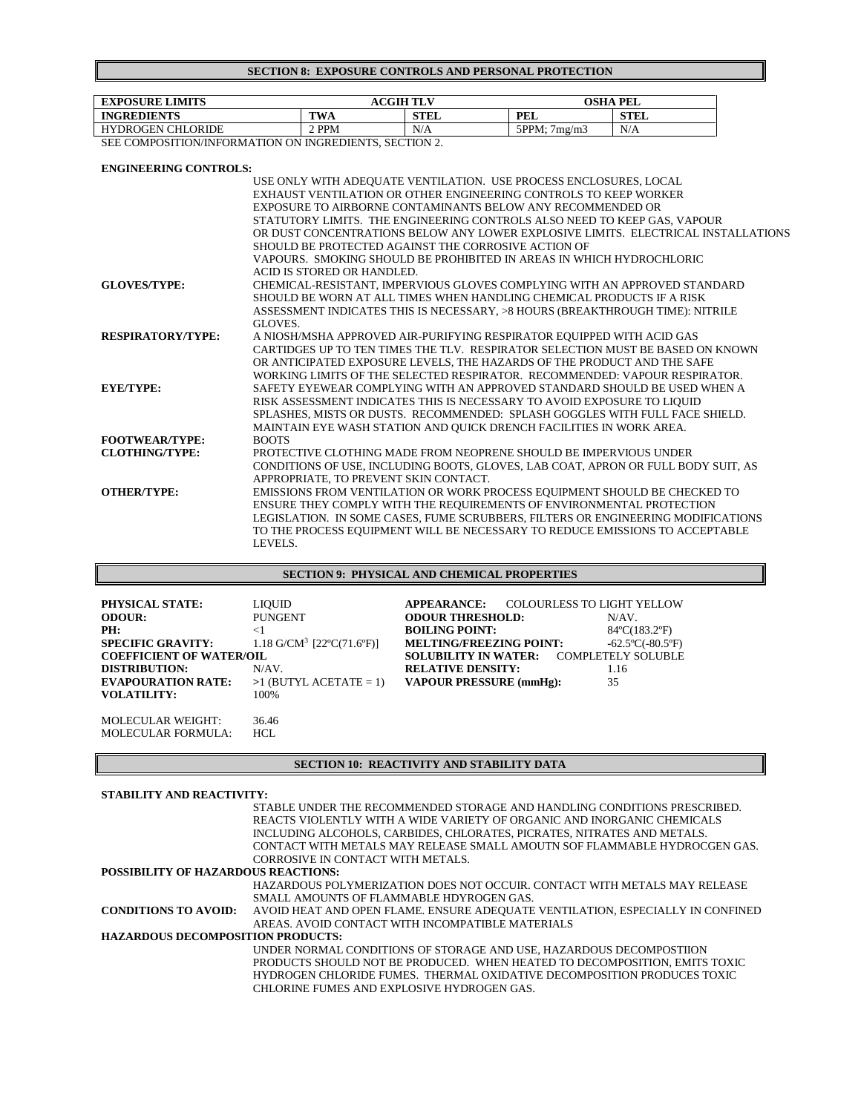# **SECTION 8: EXPOSURE CONTROLS AND PERSONAL PROTECTION**

| <b>EXPOSURE LIMITS</b>   | <b>ACGIH TLV</b> |             | OSHA PEL     |             |
|--------------------------|------------------|-------------|--------------|-------------|
| <b>INGREDIENTS</b>       | TWA              | <b>STEL</b> | PEL          | <b>STEL</b> |
| <b>HYDROGEN CHLORIDE</b> | <b>PPM</b>       | N/A         | 5PPM: 7me/m3 | N/A         |

SEE COMPOSITION/INFORMATION ON INGREDIENTS, SECTION 2.

# **ENGINEERING CONTROLS:**

|                          | USE ONLY WITH ADEQUATE VENTILATION. USE PROCESS ENCLOSURES, LOCAL                 |
|--------------------------|-----------------------------------------------------------------------------------|
|                          | EXHAUST VENTILATION OR OTHER ENGINEERING CONTROLS TO KEEP WORKER                  |
|                          | EXPOSURE TO AIRBORNE CONTAMINANTS BELOW ANY RECOMMENDED OR                        |
|                          | STATUTORY LIMITS. THE ENGINEERING CONTROLS ALSO NEED TO KEEP GAS, VAPOUR          |
|                          | OR DUST CONCENTRATIONS BELOW ANY LOWER EXPLOSIVE LIMITS. ELECTRICAL INSTALLATIONS |
|                          | SHOULD BE PROTECTED AGAINST THE CORROSIVE ACTION OF                               |
|                          | VAPOURS. SMOKING SHOULD BE PROHIBITED IN AREAS IN WHICH HYDROCHLORIC              |
|                          | ACID IS STORED OR HANDLED.                                                        |
| <b>GLOVES/TYPE:</b>      | CHEMICAL-RESISTANT, IMPERVIOUS GLOVES COMPLYING WITH AN APPROVED STANDARD         |
|                          | SHOULD BE WORN AT ALL TIMES WHEN HANDLING CHEMICAL PRODUCTS IF A RISK             |
|                          | ASSESSMENT INDICATES THIS IS NECESSARY, >8 HOURS (BREAKTHROUGH TIME): NITRILE     |
|                          | GLOVES.                                                                           |
| <b>RESPIRATORY/TYPE:</b> | A NIOSH/MSHA APPROVED AIR-PURIFYING RESPIRATOR EQUIPPED WITH ACID GAS             |
|                          | CARTIDGES UP TO TEN TIMES THE TLV. RESPIRATOR SELECTION MUST BE BASED ON KNOWN    |
|                          | OR ANTICIPATED EXPOSURE LEVELS, THE HAZARDS OF THE PRODUCT AND THE SAFE           |
|                          | WORKING LIMITS OF THE SELECTED RESPIRATOR. RECOMMENDED: VAPOUR RESPIRATOR.        |
| <b>EYE/TYPE:</b>         | SAFETY EYEWEAR COMPLYING WITH AN APPROVED STANDARD SHOULD BE USED WHEN A          |
|                          | RISK ASSESSMENT INDICATES THIS IS NECESSARY TO AVOID EXPOSURE TO LIQUID           |
|                          | SPLASHES, MISTS OR DUSTS. RECOMMENDED: SPLASH GOGGLES WITH FULL FACE SHIELD.      |
|                          | MAINTAIN EYE WASH STATION AND QUICK DRENCH FACILITIES IN WORK AREA.               |
| <b>FOOTWEAR/TYPE:</b>    | <b>BOOTS</b>                                                                      |
| <b>CLOTHING/TYPE:</b>    | PROTECTIVE CLOTHING MADE FROM NEOPRENE SHOULD BE IMPERVIOUS UNDER                 |
|                          | CONDITIONS OF USE, INCLUDING BOOTS, GLOVES, LAB COAT, APRON OR FULL BODY SUIT, AS |
|                          | APPROPRIATE, TO PREVENT SKIN CONTACT.                                             |
| <b>OTHER/TYPE:</b>       | EMISSIONS FROM VENTILATION OR WORK PROCESS EQUIPMENT SHOULD BE CHECKED TO         |
|                          | ENSURE THEY COMPLY WITH THE REQUIREMENTS OF ENVIRONMENTAL PROTECTION              |
|                          | LEGISLATION. IN SOME CASES, FUME SCRUBBERS, FILTERS OR ENGINEERING MODIFICATIONS  |
|                          | TO THE PROCESS EQUIPMENT WILL BE NECESSARY TO REDUCE EMISSIONS TO ACCEPTABLE      |
|                          | LEVELS.                                                                           |

# **SECTION 9: PHYSICAL AND CHEMICAL PROPERTIES**

| <b>PHYSICAL STATE:</b><br><b>ODOUR:</b><br>PH:<br><b>SPECIFIC GRAVITY:</b><br><b>COEFFICIENT OF WATER/OIL</b><br><b>DISTRIBUTION:</b><br><b>EVAPOURATION RATE:</b><br>VOLATILITY: | <b>LIOUID</b><br><b>PUNGENT</b><br>$<$ 1<br>$1.18 \text{ G/CM}^3$ [22°C(71.6°F)]<br>$N/AV$ .<br>$>1$ (BUTYL ACETATE = 1)<br>100\% | <b>APPEARANCE:</b><br><b>ODOUR THRESHOLD:</b><br><b>BOILING POINT:</b><br><b>MELTING/FREEZING POINT:</b><br><b>SOLUBILITY IN WATER:</b><br><b>RELATIVE DENSITY:</b><br><b>VAPOUR PRESSURE (mmHg):</b> | <b>COLOURLESS TO LIGHT YELLOW</b><br>$N/AV$ .<br>84°C(183.2°F)<br>$-62.5^{\circ}C(-80.5^{\circ}F)$<br><b>COMPLETELY SOLUBLE</b><br>1.16<br>35 |
|-----------------------------------------------------------------------------------------------------------------------------------------------------------------------------------|-----------------------------------------------------------------------------------------------------------------------------------|-------------------------------------------------------------------------------------------------------------------------------------------------------------------------------------------------------|-----------------------------------------------------------------------------------------------------------------------------------------------|
| <b>MOLECULAR WEIGHT:</b><br>MOLECULAR FORMULA:                                                                                                                                    | 36.46<br>HCL                                                                                                                      |                                                                                                                                                                                                       |                                                                                                                                               |

# **SECTION 10: REACTIVITY AND STABILITY DATA**

# **STABILITY AND REACTIVITY:**

|                                            | STABLE UNDER THE RECOMMENDED STORAGE AND HANDLING CONDITIONS PRESCRIBED.       |
|--------------------------------------------|--------------------------------------------------------------------------------|
|                                            | REACTS VIOLENTLY WITH A WIDE VARIETY OF ORGANIC AND INORGANIC CHEMICALS        |
|                                            | INCLUDING ALCOHOLS, CARBIDES, CHLORATES, PICRATES, NITRATES AND METALS.        |
|                                            | CONTACT WITH METALS MAY RELEASE SMALL AMOUTN SOF FLAMMABLE HYDROCGEN GAS.      |
|                                            | CORROSIVE IN CONTACT WITH METALS.                                              |
| <b>POSSIBILITY OF HAZARDOUS REACTIONS:</b> |                                                                                |
|                                            | HAZARDOUS POLYMERIZATION DOES NOT OCCUIR. CONTACT WITH METALS MAY RELEASE      |
|                                            | SMALL AMOUNTS OF FLAMMABLE HDYROGEN GAS.                                       |
| <b>CONDITIONS TO AVOID:</b>                | AVOID HEAT AND OPEN FLAME. ENSURE ADEQUATE VENTILATION, ESPECIALLY IN CONFINED |
|                                            | AREAS, AVOID CONTACT WITH INCOMPATIBLE MATERIALS                               |
| <b>HAZARDOUS DECOMPOSITION PRODUCTS:</b>   |                                                                                |
|                                            | UNDER NORMAL CONDITIONS OF STORAGE AND USE. HAZARDOUS DECOMPOSTIION            |
|                                            | PRODUCTS SHOULD NOT BE PRODUCED. WHEN HEATED TO DECOMPOSITION, EMITS TOXIC     |
|                                            | HYDROGEN CHLORIDE FUMES. THERMAL OXIDATIVE DECOMPOSITION PRODUCES TOXIC        |
|                                            | CHLORINE FUMES AND EXPLOSIVE HYDROGEN GAS.                                     |
|                                            |                                                                                |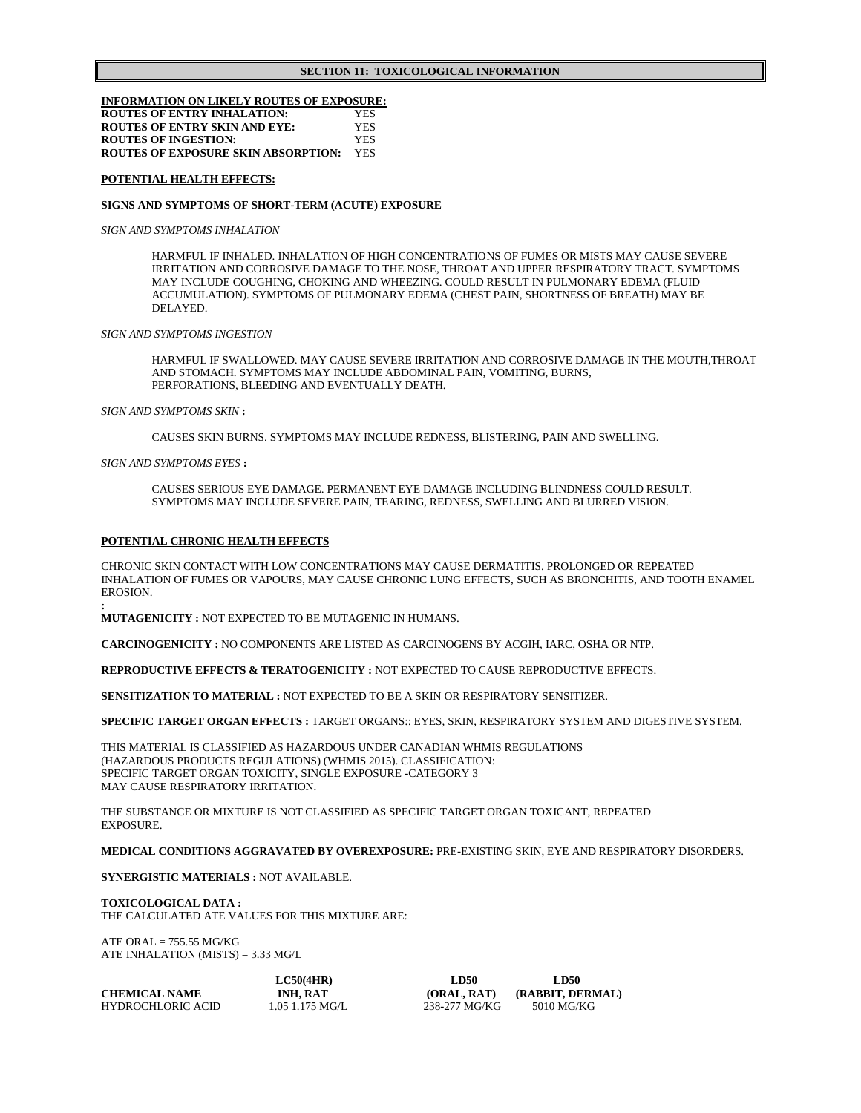### **INFORMATION ON LIKELY ROUTES OF EXPOSURE: ROUTES OF ENTRY INHALATION:** YES **ROUTES OF ENTRY SKIN AND EYE:** YES **ROUTES OF INGESTION:** YES **ROUTES OF EXPOSURE SKIN ABSORPTION:** YES

**POTENTIAL HEALTH EFFECTS:**

### **SIGNS AND SYMPTOMS OF SHORT-TERM (ACUTE) EXPOSURE**

*SIGN AND SYMPTOMS INHALATION*

HARMFUL IF INHALED. INHALATION OF HIGH CONCENTRATIONS OF FUMES OR MISTS MAY CAUSE SEVERE IRRITATION AND CORROSIVE DAMAGE TO THE NOSE, THROAT AND UPPER RESPIRATORY TRACT. SYMPTOMS MAY INCLUDE COUGHING, CHOKING AND WHEEZING. COULD RESULT IN PULMONARY EDEMA (FLUID ACCUMULATION). SYMPTOMS OF PULMONARY EDEMA (CHEST PAIN, SHORTNESS OF BREATH) MAY BE DELAYED.

### *SIGN AND SYMPTOMS INGESTION*

HARMFUL IF SWALLOWED. MAY CAUSE SEVERE IRRITATION AND CORROSIVE DAMAGE IN THE MOUTH,THROAT AND STOMACH. SYMPTOMS MAY INCLUDE ABDOMINAL PAIN, VOMITING, BURNS, PERFORATIONS, BLEEDING AND EVENTUALLY DEATH.

*SIGN AND SYMPTOMS SKIN* **:** 

CAUSES SKIN BURNS. SYMPTOMS MAY INCLUDE REDNESS, BLISTERING, PAIN AND SWELLING.

*SIGN AND SYMPTOMS EYES* **:**

**:**

CAUSES SERIOUS EYE DAMAGE. PERMANENT EYE DAMAGE INCLUDING BLINDNESS COULD RESULT. SYMPTOMS MAY INCLUDE SEVERE PAIN, TEARING, REDNESS, SWELLING AND BLURRED VISION.

### **POTENTIAL CHRONIC HEALTH EFFECTS**

CHRONIC SKIN CONTACT WITH LOW CONCENTRATIONS MAY CAUSE DERMATITIS. PROLONGED OR REPEATED INHALATION OF FUMES OR VAPOURS, MAY CAUSE CHRONIC LUNG EFFECTS, SUCH AS BRONCHITIS, AND TOOTH ENAMEL EROSION.

**MUTAGENICITY :** NOT EXPECTED TO BE MUTAGENIC IN HUMANS.

**CARCINOGENICITY :** NO COMPONENTS ARE LISTED AS CARCINOGENS BY ACGIH, IARC, OSHA OR NTP.

**REPRODUCTIVE EFFECTS & TERATOGENICITY :** NOT EXPECTED TO CAUSE REPRODUCTIVE EFFECTS.

**SENSITIZATION TO MATERIAL :** NOT EXPECTED TO BE A SKIN OR RESPIRATORY SENSITIZER.

**SPECIFIC TARGET ORGAN EFFECTS :** TARGET ORGANS:: EYES, SKIN, RESPIRATORY SYSTEM AND DIGESTIVE SYSTEM.

THIS MATERIAL IS CLASSIFIED AS HAZARDOUS UNDER CANADIAN WHMIS REGULATIONS (HAZARDOUS PRODUCTS REGULATIONS) (WHMIS 2015). CLASSIFICATION: SPECIFIC TARGET ORGAN TOXICITY, SINGLE EXPOSURE -CATEGORY 3 MAY CAUSE RESPIRATORY IRRITATION.

THE SUBSTANCE OR MIXTURE IS NOT CLASSIFIED AS SPECIFIC TARGET ORGAN TOXICANT, REPEATED EXPOSURE.

**MEDICAL CONDITIONS AGGRAVATED BY OVEREXPOSURE:** PRE-EXISTING SKIN, EYE AND RESPIRATORY DISORDERS.

### **SYNERGISTIC MATERIALS :** NOT AVAILABLE.

**TOXICOLOGICAL DATA :** THE CALCULATED ATE VALUES FOR THIS MIXTURE ARE:

ATE ORAL  $= 755.55$  MG/KG ATE INHALATION (MISTS)  $= 3.33$  MG/L

|                      | LC50(4HR)         | <b>LD50</b>   | <b>LD50</b>      |
|----------------------|-------------------|---------------|------------------|
| <b>CHEMICAL NAME</b> | <b>INH. RAT</b>   | (ORAL, RAT)   | (RABBIT, DERMAL) |
| HYDROCHLORIC ACID    | $1.05$ 1.175 MG/L | 238-277 MG/KG | 5010 MG/KG       |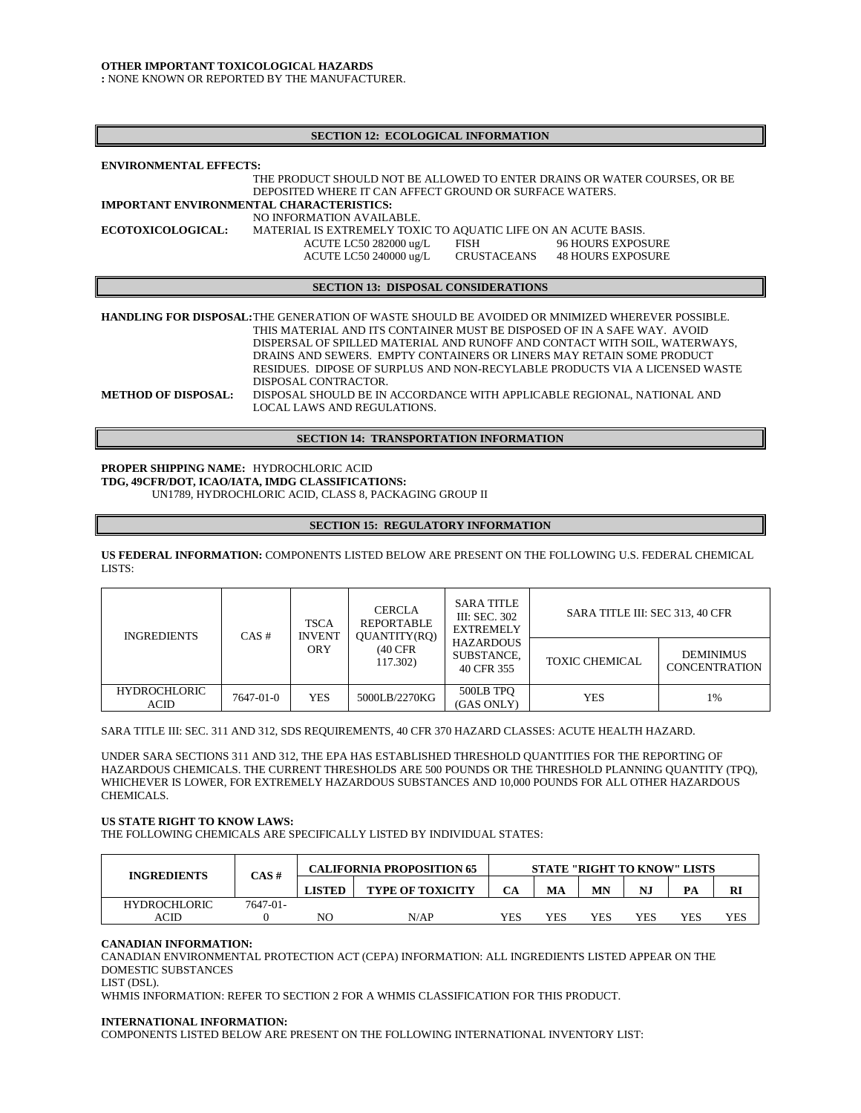### **OTHER IMPORTANT TOXICOLOGICA**L **HAZARDS**

**:** NONE KNOWN OR REPORTED BY THE MANUFACTURER.

| <b>SECTION 12: ECOLOGICAL INFORMATION</b>       |                                                                                                                                      |             |                          |
|-------------------------------------------------|--------------------------------------------------------------------------------------------------------------------------------------|-------------|--------------------------|
| <b>ENVIRONMENTAL EFFECTS:</b>                   |                                                                                                                                      |             |                          |
|                                                 | THE PRODUCT SHOULD NOT BE ALLOWED TO ENTER DRAINS OR WATER COURSES. OR BE<br>DEPOSITED WHERE IT CAN AFFECT GROUND OR SURFACE WATERS. |             |                          |
| <b>IMPORTANT ENVIRONMENTAL CHARACTERISTICS:</b> |                                                                                                                                      |             |                          |
|                                                 | NO INFORMATION AVAILABLE.                                                                                                            |             |                          |
| <b>ECOTOXICOLOGICAL:</b>                        | MATERIAL IS EXTREMELY TOXIC TO AQUATIC LIFE ON AN ACUTE BASIS.                                                                       |             |                          |
|                                                 | ACUTE LC50 282000 ug/L                                                                                                               | FISH        | <b>96 HOURS EXPOSURE</b> |
|                                                 | ACUTE LC50 240000 ug/L                                                                                                               | CRUSTACEANS | <b>48 HOURS EXPOSURE</b> |
|                                                 |                                                                                                                                      |             |                          |
|                                                 | <b>SECTION 13: DISPOSAL CONSIDERATIONS</b>                                                                                           |             |                          |
|                                                 |                                                                                                                                      |             |                          |
|                                                 | <b>HANDLING FOR DISPOSAL:</b> THE GENERATION OF WASTE SHOULD BE AVOIDED OR MNIMIZED WHEREVER POSSIBLE.                               |             |                          |
|                                                 | THIS MATERIAL AND ITS CONTAINER MUST BE DISPOSED OF IN A SAFE WAY. AVOID                                                             |             |                          |
|                                                 | DISPERSAL OF SPILLED MATERIAL AND RUNOFF AND CONTACT WITH SOIL, WATERWAYS,                                                           |             |                          |
|                                                 | DRAINS AND SEWERS. EMPTY CONTAINERS OR LINERS MAY RETAIN SOME PRODUCT                                                                |             |                          |
|                                                 | RESIDUES. DIPOSE OF SURPLUS AND NON-RECYLABLE PRODUCTS VIA A LICENSED WASTE                                                          |             |                          |
|                                                 | DISPOSAL CONTRACTOR.                                                                                                                 |             |                          |

**METHOD OF DISPOSAL:** DISPOSAL SHOULD BE IN ACCORDANCE WITH APPLICABLE REGIONAL, NATIONAL AND LOCAL LAWS AND REGULATIONS.

**SECTION 14: TRANSPORTATION INFORMATION**

**PROPER SHIPPING NAME:** HYDROCHLORIC ACID **TDG, 49CFR/DOT, ICAO/IATA, IMDG CLASSIFICATIONS:** UN1789, HYDROCHLORIC ACID, CLASS 8, PACKAGING GROUP II

### **SECTION 15: REGULATORY INFORMATION**

**US FEDERAL INFORMATION:** COMPONENTS LISTED BELOW ARE PRESENT ON THE FOLLOWING U.S. FEDERAL CHEMICAL LISTS:

| <b>INGREDIENTS</b>          | $CAS \#$  | <b>TSCA</b><br><b>INVENT</b> | <b>CERCLA</b><br><b>REPORTABLE</b><br>QUANTITY(RQ) | <b>SARA TITLE</b><br><b>III: SEC. 302</b><br><b>EXTREMELY</b> | SARA TITLE III: SEC 313, 40 CFR |                                          |
|-----------------------------|-----------|------------------------------|----------------------------------------------------|---------------------------------------------------------------|---------------------------------|------------------------------------------|
|                             |           | <b>ORY</b>                   | $(40$ CFR<br>117.302)                              | <b>HAZARDOUS</b><br>SUBSTANCE.<br>40 CFR 355                  | <b>TOXIC CHEMICAL</b>           | <b>DEMINIMUS</b><br><b>CONCENTRATION</b> |
| <b>HYDROCHLORIC</b><br>ACID | 7647-01-0 | <b>YES</b>                   | 5000LB/2270KG                                      | 500LB TPO<br>(GAS ONLY)                                       | YES                             | 1%                                       |

SARA TITLE III: SEC. 311 AND 312, SDS REQUIREMENTS, 40 CFR 370 HAZARD CLASSES: ACUTE HEALTH HAZARD.

UNDER SARA SECTIONS 311 AND 312, THE EPA HAS ESTABLISHED THRESHOLD QUANTITIES FOR THE REPORTING OF HAZARDOUS CHEMICALS. THE CURRENT THRESHOLDS ARE 500 POUNDS OR THE THRESHOLD PLANNING QUANTITY (TPQ), WHICHEVER IS LOWER, FOR EXTREMELY HAZARDOUS SUBSTANCES AND 10,000 POUNDS FOR ALL OTHER HAZARDOUS CHEMICALS.

### **US STATE RIGHT TO KNOW LAWS:**

THE FOLLOWING CHEMICALS ARE SPECIFICALLY LISTED BY INDIVIDUAL STATES:

| <b>INGREDIENTS</b>  | CAS#     | <b>CALIFORNIA PROPOSITION 65</b> | <b>STATE "RIGHT TO KNOW" LISTS</b> |     |     |                         |     |     |     |
|---------------------|----------|----------------------------------|------------------------------------|-----|-----|-------------------------|-----|-----|-----|
|                     |          | LISTED                           | <b>TYPE OF TOXICITY</b>            |     | MA  | $\mathbf{M} \mathbf{N}$ | NJ  | PA  | RI  |
| <b>HYDROCHLORIC</b> | 7647-01- |                                  |                                    |     |     |                         |     |     |     |
| ACID                |          | NC                               | N/AP                               | YES | YES | YES                     | YES | YES | YES |

# **CANADIAN INFORMATION:**

CANADIAN ENVIRONMENTAL PROTECTION ACT (CEPA) INFORMATION: ALL INGREDIENTS LISTED APPEAR ON THE DOMESTIC SUBSTANCES

LIST (DSL).

WHMIS INFORMATION: REFER TO SECTION 2 FOR A WHMIS CLASSIFICATION FOR THIS PRODUCT.

# **INTERNATIONAL INFORMATION:**

COMPONENTS LISTED BELOW ARE PRESENT ON THE FOLLOWING INTERNATIONAL INVENTORY LIST: